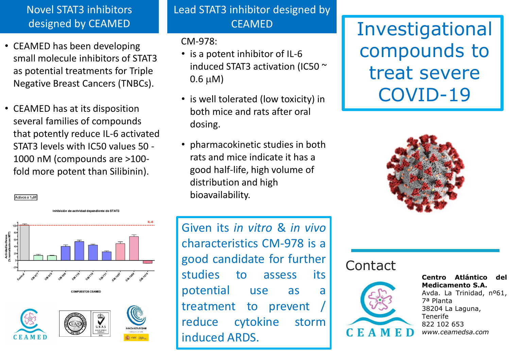## Novel STAT3 inhibitors designed by CEAMED

- CEAMED has been developing small molecule inhibitors of STAT3 as potential treatments for Triple Negative Breast Cancers (TNBCs).
- CEAMED has at its disposition several families of compounds that potently reduce IL-6 activated STAT3 levels with IC50 values 50 - 1000 nM (compounds are >100 fold more potent than Silibinin).

Lead STAT3 inhibitor designed by

#### CM-978:

- is a potent inhibitor of IL-6 induced STAT3 activation (IC50 ~  $0.6 \mu M$ )
- is well tolerated (low toxicity) in both mice and rats after oral dosing.
- pharmacokinetic studies in both rats and mice indicate it has a good half-life, high volume of distribution and high bioavailability.

CEAMED **Investigational** compounds to treat severe COVID-19







Activos a 1µM

Given its *in vitro* & *in vivo* characteristics CM-978 is a good candidate for further studies to assess its potential use as a treatment to prevent reduce cytokine storm induced ARDS.

### **Contact**



**Centro Atlántico del Medicamento S.A.** Avda. La Trinidad, nº61, 7ª Planta 38204 La Laguna, Tenerife 822 102 653 *www.ceamedsa.com*